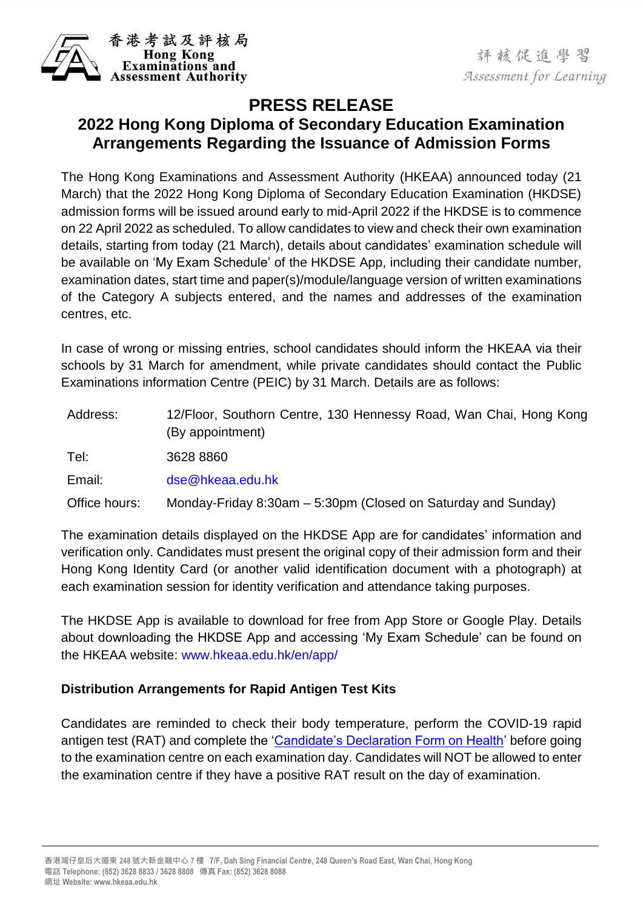

## **PRESS RELEASE**

## **2022 Hong Kong Diploma of Secondary Education Examination Arrangements Regarding the Issuance of Admission Forms**

The Hong Kong Examinations and Assessment Authority (HKEAA) announced today (21 March) that the 2022 Hong Kong Diploma of Secondary Education Examination (HKDSE) admission forms will be issued around early to mid-April 2022 if the HKDSE is to commence on 22 April 2022 as scheduled. To allow candidates to view and check their own examination details, starting from today (21 March), details about candidates' examination schedule will be available on 'My Exam Schedule' of the HKDSE App, including their candidate number, examination dates, start time and paper(s)/module/language version of written examinations of the Category A subjects entered, and the names and addresses of the examination centres, etc.

In case of wrong or missing entries, school candidates should inform the HKEAA via their schools by 31 March for amendment, while private candidates should contact the Public Examinations information Centre (PEIC) by 31 March. Details are as follows:

| Address:      | 12/Floor, Southorn Centre, 130 Hennessy Road, Wan Chai, Hong Kong<br>(By appointment) |
|---------------|---------------------------------------------------------------------------------------|
| Tel:          | 3628 8860                                                                             |
| Email:        | dse@hkeaa.edu.hk                                                                      |
| Office hours: | Monday-Friday 8:30am – 5:30pm (Closed on Saturday and Sunday)                         |

The examination details displayed on the HKDSE App are for candidates' information and verification only. Candidates must present the original copy of their admission form and their Hong Kong Identity Card (or another valid identification document with a photograph) at each examination session for identity verification and attendance taking purposes.

The HKDSE App is available to download for free from App Store or Google Play. Details about downloading the HKDSE App and accessing 'My Exam Schedule' can be found on the HKEAA website: [www.hkeaa.edu.hk/en/app/](http://www.hkeaa.edu.hk/en/app/)

## **Distribution Arrangements for Rapid Antigen Test Kits**

Candidates are reminded to check their body temperature, perform the COVID-19 rapid antigen test (RAT) and complete the ['Candidate's Declaration Form on Health'](https://www.hkeaa.edu.hk/DocLibrary/MainNews/2022_HKDSE_Candidates_Declaration_on_Health.pdf) before going to the examination centre on each examination day. Candidates will NOT be allowed to enter the examination centre if they have a positive RAT result on the day of examination.